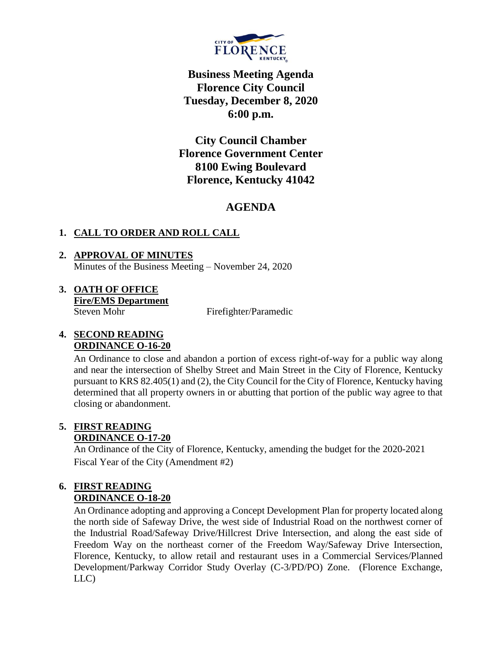

**Business Meeting Agenda Florence City Council Tuesday, December 8, 2020 6:00 p.m.**

**City Council Chamber Florence Government Center 8100 Ewing Boulevard Florence, Kentucky 41042**

# **AGENDA**

### **1. CALL TO ORDER AND ROLL CALL**

- **2. APPROVAL OF MINUTES** Minutes of the Business Meeting – November 24, 2020
- **3. OATH OF OFFICE Fire/EMS Department** Steven Mohr Firefighter/Paramedic

#### **4. SECOND READING ORDINANCE O-16-20**

An Ordinance to close and abandon a portion of excess right-of-way for a public way along and near the intersection of Shelby Street and Main Street in the City of Florence, Kentucky pursuant to KRS 82.405(1) and (2), the City Council for the City of Florence, Kentucky having determined that all property owners in or abutting that portion of the public way agree to that closing or abandonment.

#### **5. FIRST READING ORDINANCE O-17-20**

An Ordinance of the City of Florence, Kentucky, amending the budget for the 2020-2021 Fiscal Year of the City (Amendment #2)

#### **6. FIRST READING ORDINANCE O-18-20**

An Ordinance adopting and approving a Concept Development Plan for property located along the north side of Safeway Drive, the west side of Industrial Road on the northwest corner of the Industrial Road/Safeway Drive/Hillcrest Drive Intersection, and along the east side of Freedom Way on the northeast corner of the Freedom Way/Safeway Drive Intersection, Florence, Kentucky, to allow retail and restaurant uses in a Commercial Services/Planned Development/Parkway Corridor Study Overlay (C-3/PD/PO) Zone. (Florence Exchange, LLC)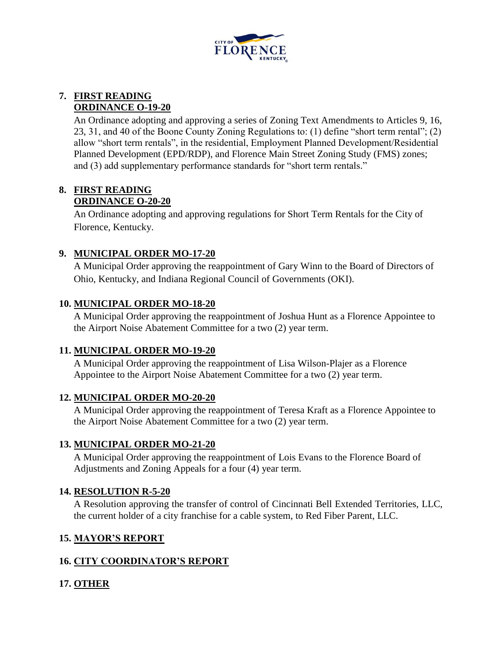

### **7. FIRST READING ORDINANCE O-19-20**

An Ordinance adopting and approving a series of Zoning Text Amendments to Articles 9, 16, 23, 31, and 40 of the Boone County Zoning Regulations to: (1) define "short term rental"; (2) allow "short term rentals", in the residential, Employment Planned Development/Residential Planned Development (EPD/RDP), and Florence Main Street Zoning Study (FMS) zones; and (3) add supplementary performance standards for "short term rentals."

## **8. FIRST READING**

#### **ORDINANCE O-20-20**

An Ordinance adopting and approving regulations for Short Term Rentals for the City of Florence, Kentucky.

### **9. MUNICIPAL ORDER MO-17-20**

A Municipal Order approving the reappointment of Gary Winn to the Board of Directors of Ohio, Kentucky, and Indiana Regional Council of Governments (OKI).

### **10. MUNICIPAL ORDER MO-18-20**

A Municipal Order approving the reappointment of Joshua Hunt as a Florence Appointee to the Airport Noise Abatement Committee for a two (2) year term.

### **11. MUNICIPAL ORDER MO-19-20**

A Municipal Order approving the reappointment of Lisa Wilson-Plajer as a Florence Appointee to the Airport Noise Abatement Committee for a two (2) year term.

### **12. MUNICIPAL ORDER MO-20-20**

A Municipal Order approving the reappointment of Teresa Kraft as a Florence Appointee to the Airport Noise Abatement Committee for a two (2) year term.

### **13. MUNICIPAL ORDER MO-21-20**

A Municipal Order approving the reappointment of Lois Evans to the Florence Board of Adjustments and Zoning Appeals for a four (4) year term.

### **14. RESOLUTION R-5-20**

A Resolution approving the transfer of control of Cincinnati Bell Extended Territories, LLC, the current holder of a city franchise for a cable system, to Red Fiber Parent, LLC.

### **15. MAYOR'S REPORT**

## **16. CITY COORDINATOR'S REPORT**

## **17. OTHER**